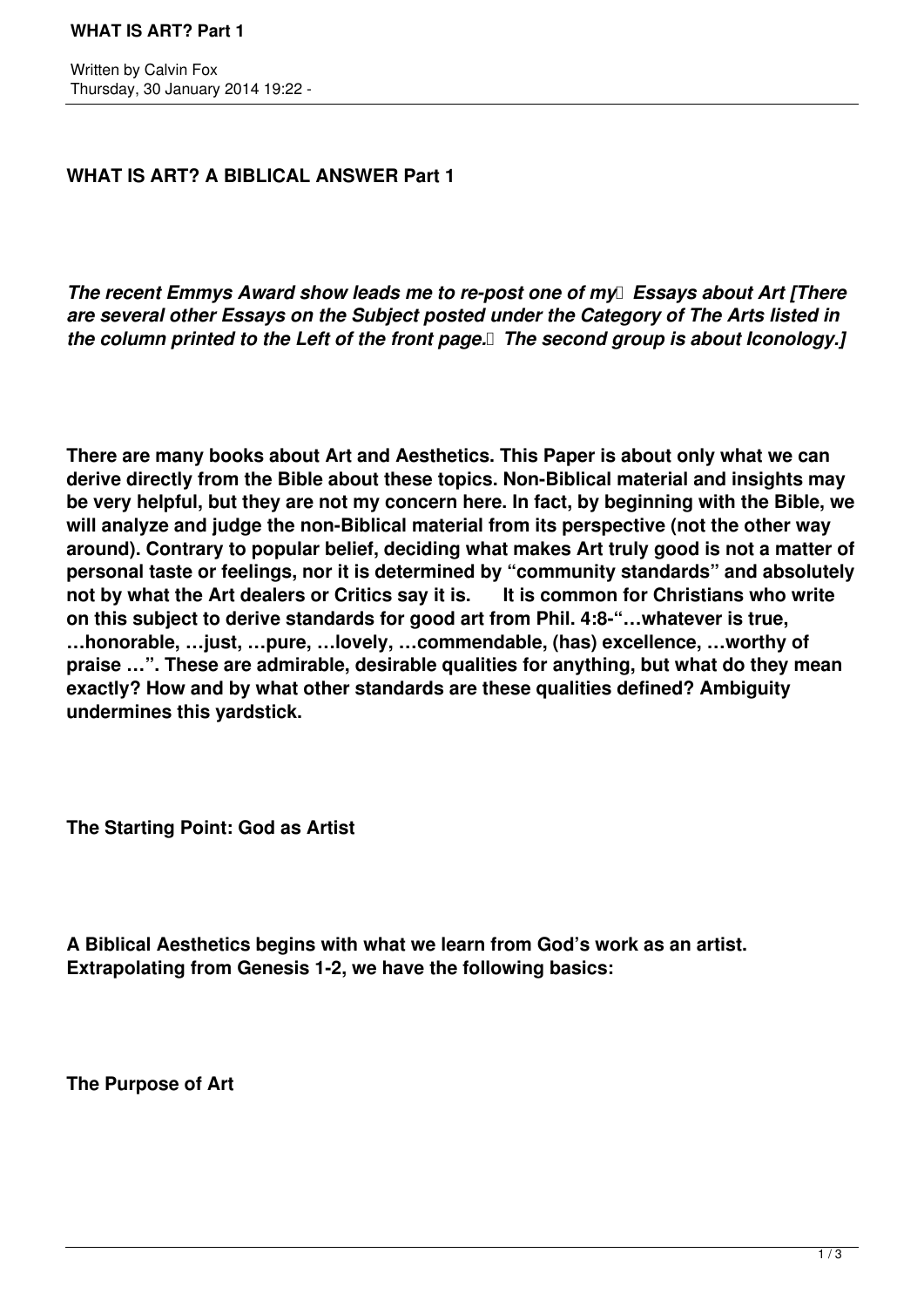**WHAT IS ART? A BIBLICAL ANSWER Part 1**

*The recent Emmys Award show leads me to re-post one of my* Essays about Art [There *are several other Essays on the Subject posted under the Category of The Arts listed in the column printed to the Left of the front page. The second group is about Iconology.]*

**There are many books about Art and Aesthetics. This Paper is about only what we can derive directly from the Bible about these topics. Non-Biblical material and insights may be very helpful, but they are not my concern here. In fact, by beginning with the Bible, we will analyze and judge the non-Biblical material from its perspective (not the other way around). Contrary to popular belief, deciding what makes Art truly good is not a matter of personal taste or feelings, nor it is determined by "community standards" and absolutely not by what the Art dealers or Critics say it is. It is common for Christians who write on this subject to derive standards for good art from Phil. 4:8-"…whatever is true, …honorable, …just, …pure, …lovely, …commendable, (has) excellence, …worthy of praise …". These are admirable, desirable qualities for anything, but what do they mean exactly? How and by what other standards are these qualities defined? Ambiguity undermines this yardstick.**

**The Starting Point: God as Artist**

**A Biblical Aesthetics begins with what we learn from God's work as an artist. Extrapolating from Genesis 1-2, we have the following basics:**

**The Purpose of Art**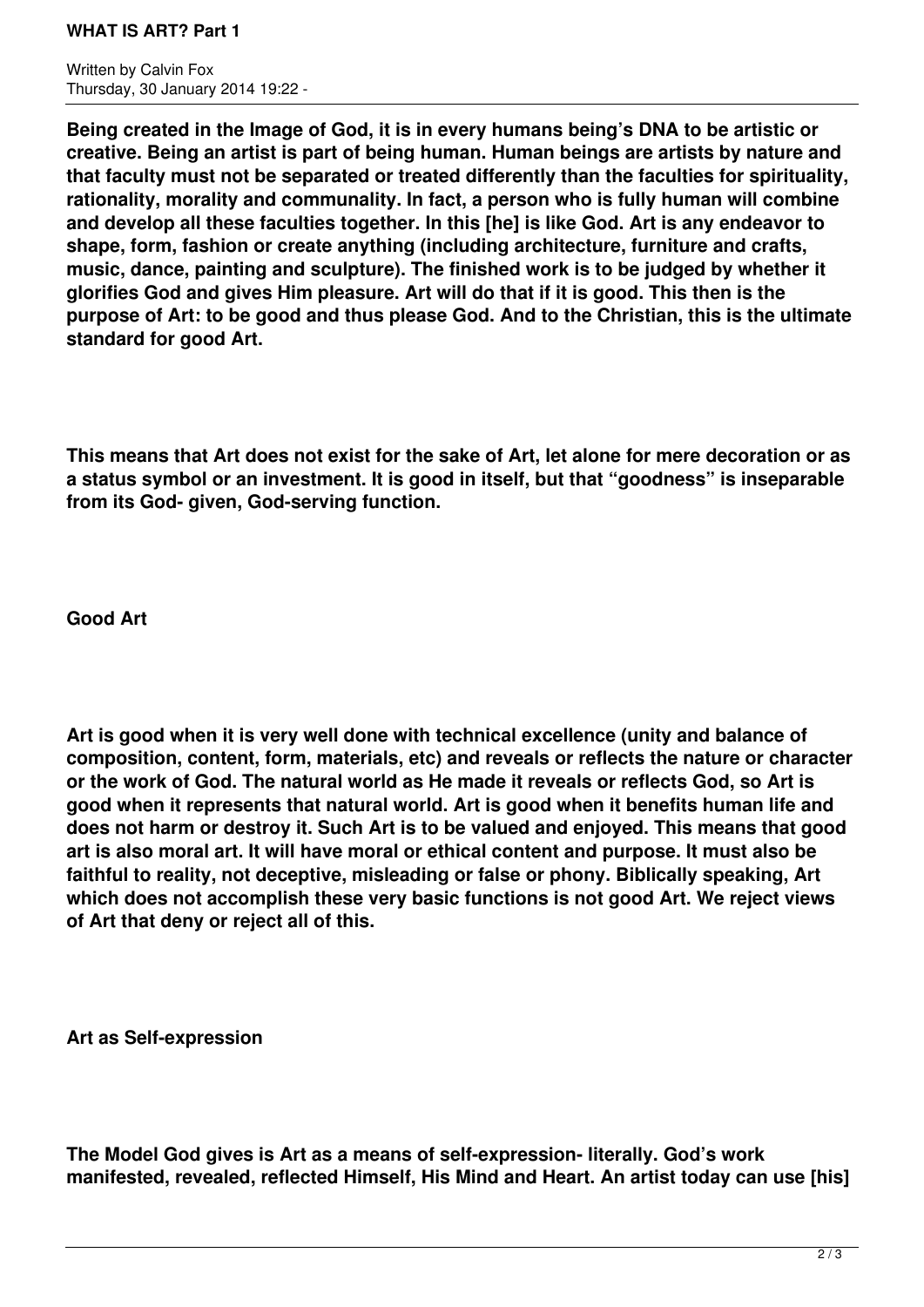## **WHAT IS ART? Part 1**

Written by Calvin Fox Thursday, 30 January 2014 19:22 -

**Being created in the Image of God, it is in every humans being's DNA to be artistic or creative. Being an artist is part of being human. Human beings are artists by nature and that faculty must not be separated or treated differently than the faculties for spirituality, rationality, morality and communality. In fact, a person who is fully human will combine and develop all these faculties together. In this [he] is like God. Art is any endeavor to shape, form, fashion or create anything (including architecture, furniture and crafts, music, dance, painting and sculpture). The finished work is to be judged by whether it glorifies God and gives Him pleasure. Art will do that if it is good. This then is the purpose of Art: to be good and thus please God. And to the Christian, this is the ultimate standard for good Art.**

**This means that Art does not exist for the sake of Art, let alone for mere decoration or as a status symbol or an investment. It is good in itself, but that "goodness" is inseparable from its God- given, God-serving function.**

**Good Art**

**Art is good when it is very well done with technical excellence (unity and balance of composition, content, form, materials, etc) and reveals or reflects the nature or character or the work of God. The natural world as He made it reveals or reflects God, so Art is good when it represents that natural world. Art is good when it benefits human life and does not harm or destroy it. Such Art is to be valued and enjoyed. This means that good art is also moral art. It will have moral or ethical content and purpose. It must also be faithful to reality, not deceptive, misleading or false or phony. Biblically speaking, Art which does not accomplish these very basic functions is not good Art. We reject views of Art that deny or reject all of this.**

**Art as Self-expression**

**The Model God gives is Art as a means of self-expression- literally. God's work manifested, revealed, reflected Himself, His Mind and Heart. An artist today can use [his]**